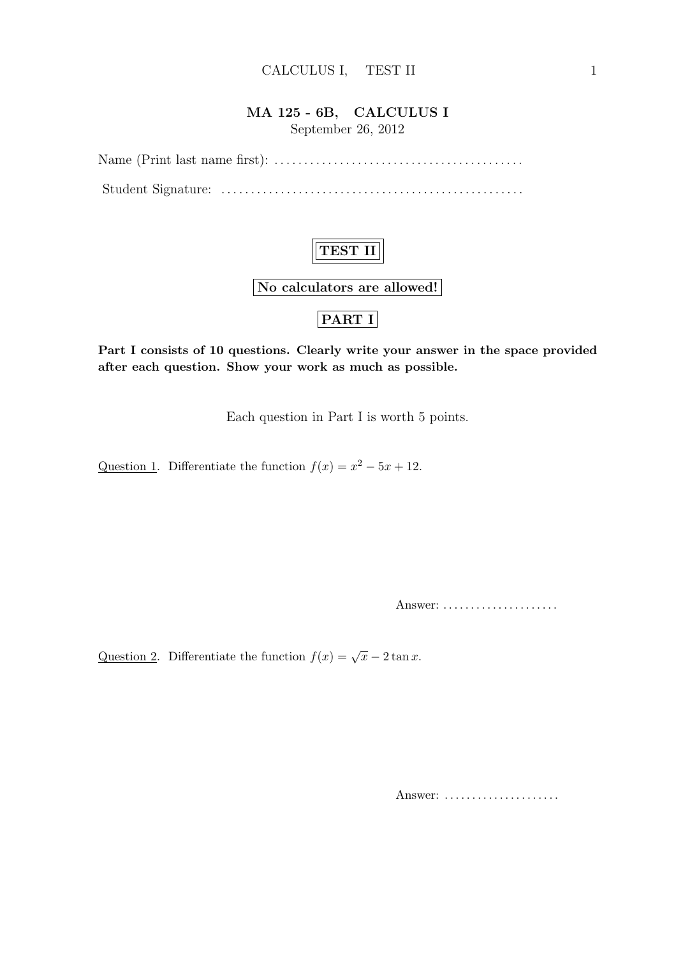#### MA 125 - 6B, CALCULUS I

September 26, 2012

Name (Print last name first): . . . . . . . . . . . . . . . . . . . . . . . . . . . . . . . . . . . . . . . . . . Student Signature: . . . . . . . . . . . . . . . . . . . . . . . . . . . . . . . . . . . . . . . . . . . . . . . . . . .

## TEST II

No calculators are allowed!

### PART I

Part I consists of 10 questions. Clearly write your answer in the space provided after each question. Show your work as much as possible.

Each question in Part I is worth 5 points.

Question 1. Differentiate the function  $f(x) = x^2 - 5x + 12$ .

Answer: . . . . . . . . . . . . . . . . . . . . .

Question 2. Differentiate the function  $f(x) = \sqrt{x} - 2 \tan x$ .

Answer: ......................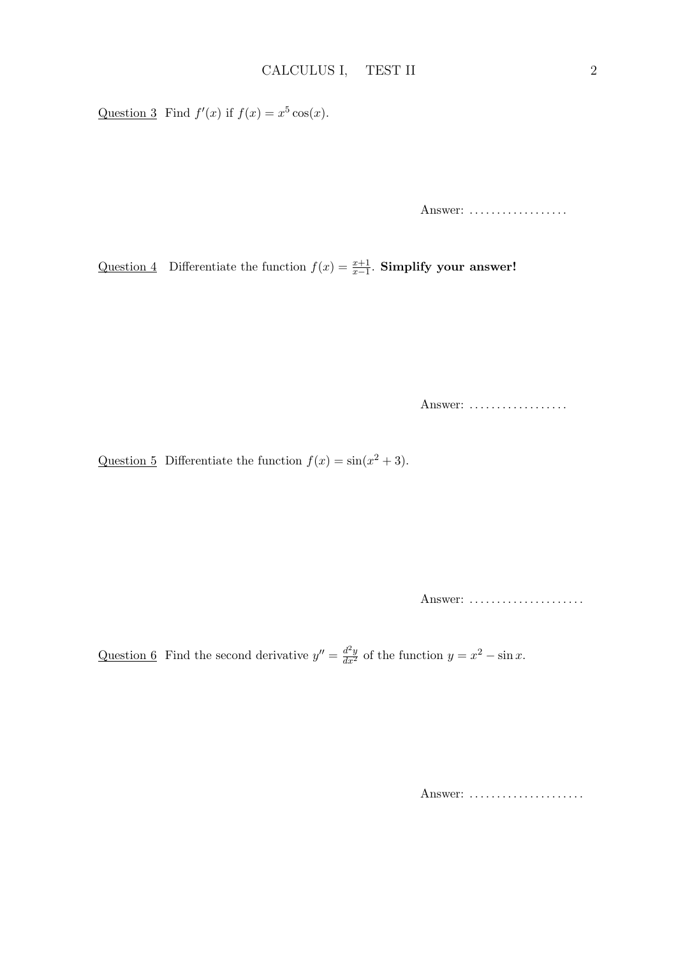Question 3 Find  $f'(x)$  if  $f(x) = x^5 \cos(x)$ .

Answer: ..................

Question 4 Differentiate the function  $f(x) = \frac{x+1}{x-1}$ . Simplify your answer!

Answer: ..................

Question 5 Differentiate the function  $f(x) = \sin(x^2 + 3)$ .

Answer: .....................

Question 6 Find the second derivative  $y'' = \frac{d^2y}{dx^2}$  of the function  $y = x^2 - \sin x$ .

Answer: ......................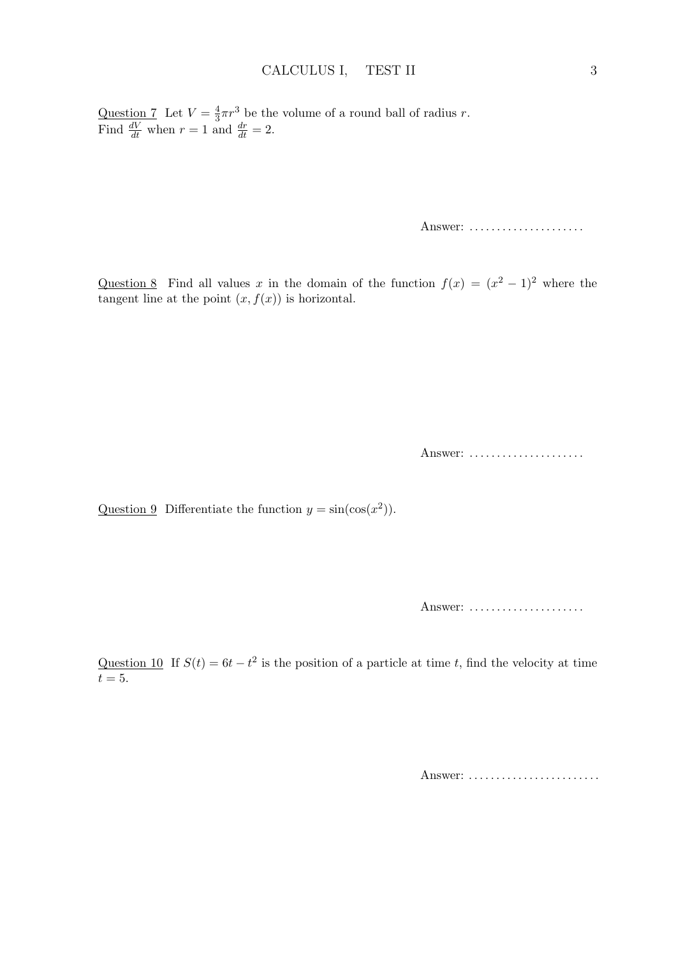Question 7 Let  $V=\frac{4}{3}$  $\frac{4}{3}\pi r^3$  be the volume of a round ball of radius r. Find  $\frac{dV}{dt}$  when  $r = 1$  and  $\frac{dr}{dt} = 2$ .

Answer: ......................

Question 8 Find all values x in the domain of the function  $f(x) = (x^2 - 1)^2$  where the tangent line at the point  $(x, f(x))$  is horizontal.

Answer: .....................

Question 9 Differentiate the function  $y = sin(cos(x^2))$ .

Answer: .....................

Question 10 If  $S(t) = 6t - t^2$  is the position of a particle at time t, find the velocity at time  $t=5.$ 

Answer: ..........................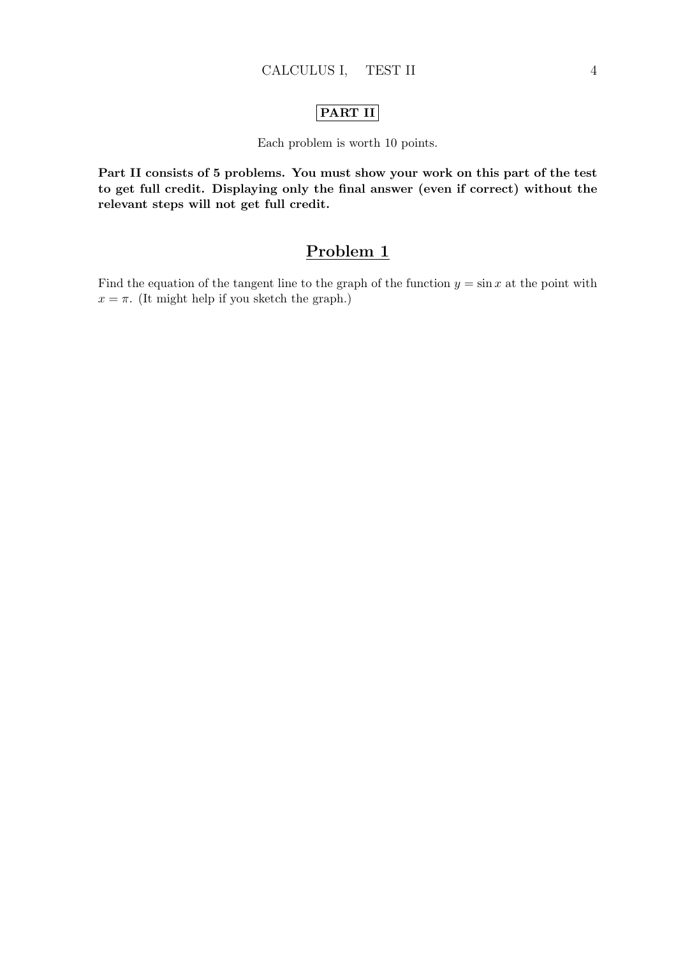#### PART II

Each problem is worth 10 points.

Part II consists of 5 problems. You must show your work on this part of the test to get full credit. Displaying only the final answer (even if correct) without the relevant steps will not get full credit.

## Problem 1

Find the equation of the tangent line to the graph of the function  $y = \sin x$  at the point with  $x = \pi$ . (It might help if you sketch the graph.)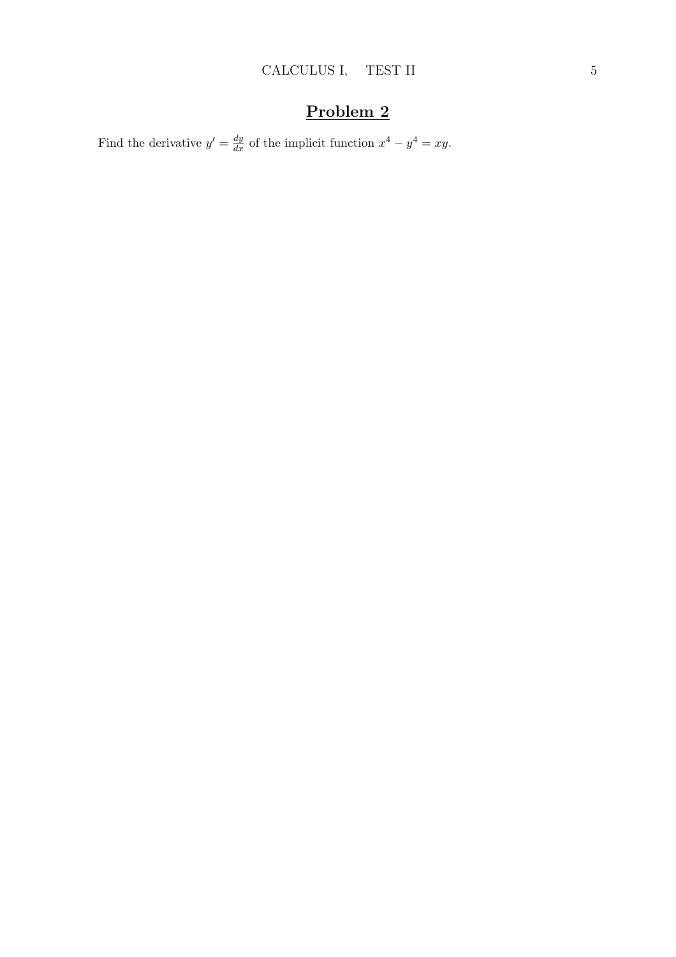Find the derivative  $y' = \frac{dy}{dx}$  of the implicit function  $x^4 - y^4 = xy$ .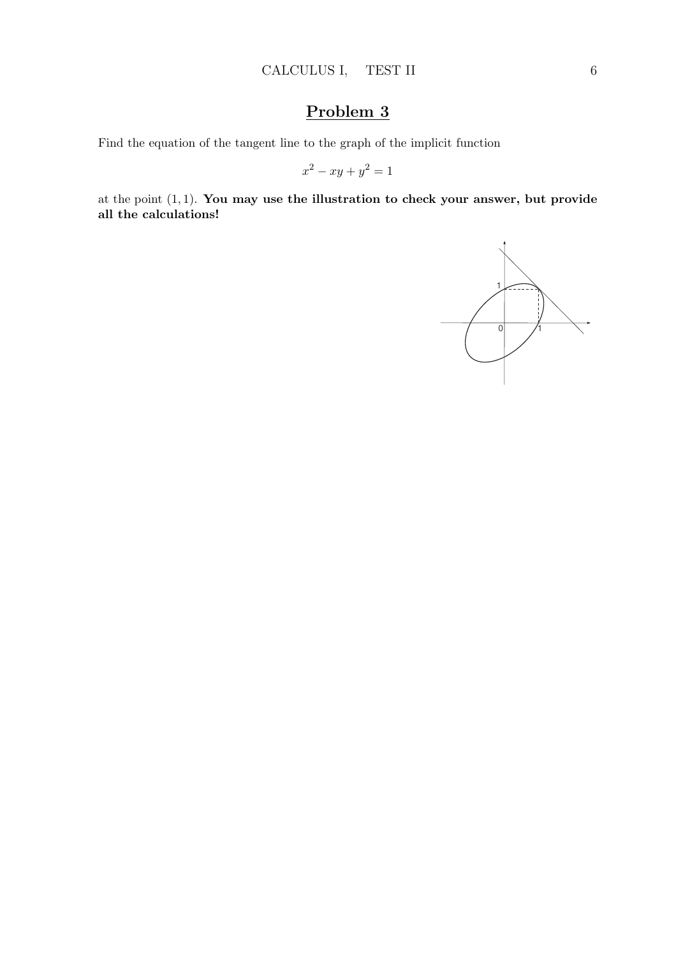Find the equation of the tangent line to the graph of the implicit function

$$
x^2 - xy + y^2 = 1
$$

at the point (1, 1). You may use the illustration to check your answer, but provide all the calculations!

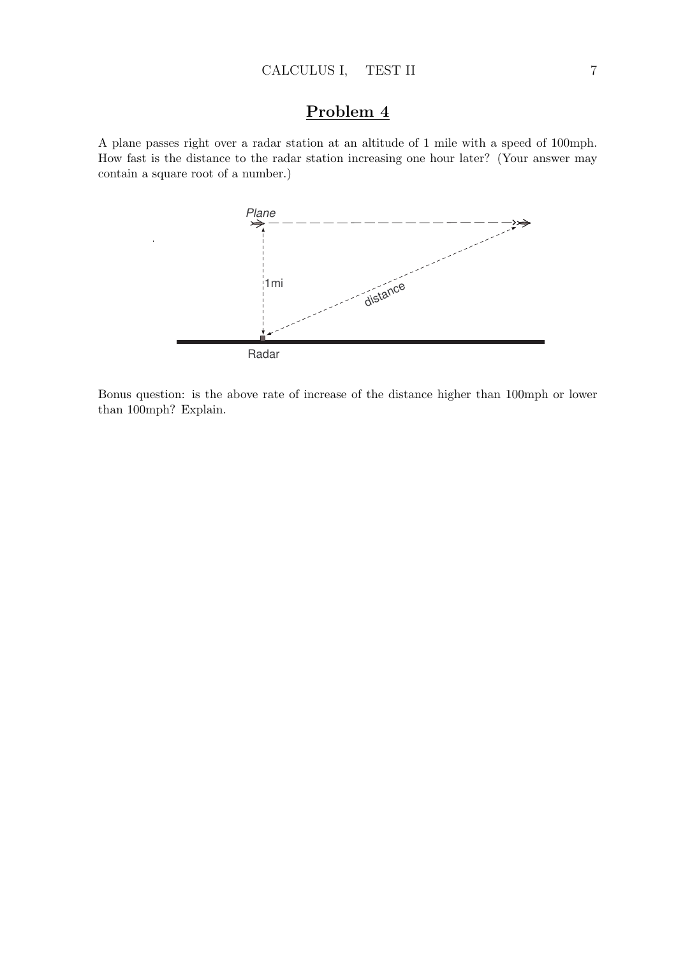A plane passes right over a radar station at an altitude of 1 mile with a speed of 100mph. How fast is the distance to the radar station increasing one hour later? (Your answer may contain a square root of a number.)



Bonus question: is the above rate of increase of the distance higher than 100mph or lower than 100mph? Explain.